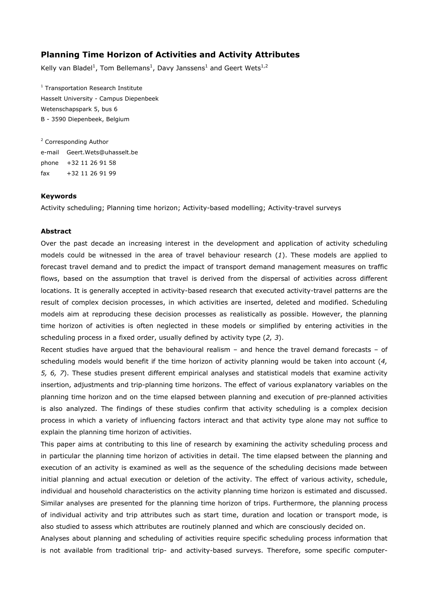## **Planning Time Horizon of Activities and Activity Attributes**

Kelly van Bladel<sup>1</sup>, Tom Bellemans<sup>1</sup>, Davy Janssens<sup>1</sup> and Geert Wets<sup>1,2</sup>

<sup>1</sup> Transportation Research Institute Hasselt University - Campus Diepenbeek Wetenschapspark 5, bus 6 B - 3590 Diepenbeek, Belgium

<sup>2</sup> Corresponding Author e-mail Geert.Wets@uhasselt.be phone +32 11 26 91 58 fax +32 11 26 91 99

## **Keywords**

Activity scheduling; Planning time horizon; Activity-based modelling; Activity-travel surveys

## **Abstract**

Over the past decade an increasing interest in the development and application of activity scheduling models could be witnessed in the area of travel behaviour research (*1*). These models are applied to forecast travel demand and to predict the impact of transport demand management measures on traffic flows, based on the assumption that travel is derived from the dispersal of activities across different locations. It is generally accepted in activity-based research that executed activity-travel patterns are the result of complex decision processes, in which activities are inserted, deleted and modified. Scheduling models aim at reproducing these decision processes as realistically as possible. However, the planning time horizon of activities is often neglected in these models or simplified by entering activities in the scheduling process in a fixed order, usually defined by activity type (*2, 3*).

Recent studies have argued that the behavioural realism – and hence the travel demand forecasts – of scheduling models would benefit if the time horizon of activity planning would be taken into account (*4, 5, 6, 7*). These studies present different empirical analyses and statistical models that examine activity insertion, adjustments and trip-planning time horizons. The effect of various explanatory variables on the planning time horizon and on the time elapsed between planning and execution of pre-planned activities is also analyzed. The findings of these studies confirm that activity scheduling is a complex decision process in which a variety of influencing factors interact and that activity type alone may not suffice to explain the planning time horizon of activities.

This paper aims at contributing to this line of research by examining the activity scheduling process and in particular the planning time horizon of activities in detail. The time elapsed between the planning and execution of an activity is examined as well as the sequence of the scheduling decisions made between initial planning and actual execution or deletion of the activity. The effect of various activity, schedule, individual and household characteristics on the activity planning time horizon is estimated and discussed. Similar analyses are presented for the planning time horizon of trips. Furthermore, the planning process of individual activity and trip attributes such as start time, duration and location or transport mode, is also studied to assess which attributes are routinely planned and which are consciously decided on.

Analyses about planning and scheduling of activities require specific scheduling process information that is not available from traditional trip- and activity-based surveys. Therefore, some specific computer-